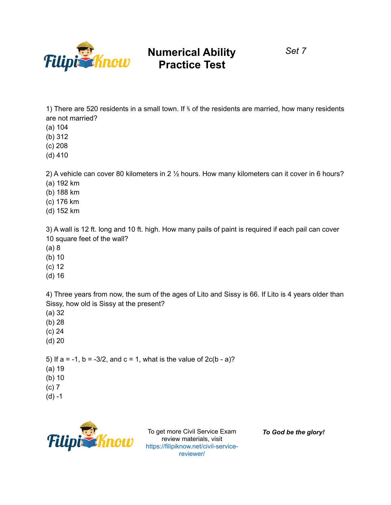

*Set 7*

1) There are 520 residents in a small town. If <sup>\*</sup> of the residents are married, how many residents are not married?

- (a) 104
- (b) 312
- (c) 208
- (d) 410

2) A vehicle can cover 80 kilometers in 2 ½ hours. How many kilometers can it cover in 6 hours?

- (a) 192 km
- (b) 188 km
- (c) 176 km
- (d) 152 km

3) A wall is 12 ft. long and 10 ft. high. How many pails of paint is required if each pail can cover 10 square feet of the wall?

- (a) 8
- (b) 10
- (c) 12
- (d) 16

4) Three years from now, the sum of the ages of Lito and Sissy is 66. If Lito is 4 years older than Sissy, how old is Sissy at the present?

- (a) 32
- (b) 28
- (c) 24
- (d) 20

5) If  $a = -1$ ,  $b = -3/2$ , and  $c = 1$ , what is the value of  $2c(b - a)$ ?

- (a) 19
- (b) 10
- (c) 7
- $(d) -1$



To get more Civil Service Exam review materials, visit https://filipiknow.net/civil-servicereviewer/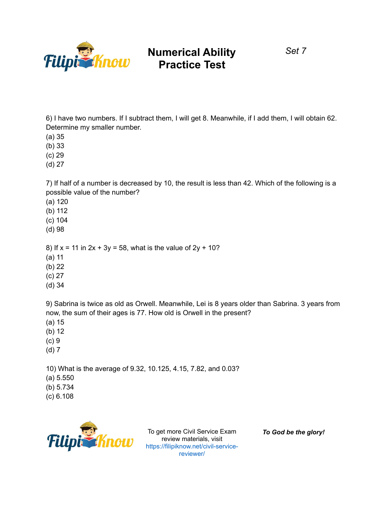

*Set 7*

6) I have two numbers. If I subtract them, I will get 8. Meanwhile, if I add them, I will obtain 62. Determine my smaller number.

(a) 35

(b) 33

(c) 29

(d) 27

7) If half of a number is decreased by 10, the result is less than 42. Which of the following is a possible value of the number?

(a) 120

(b) 112

(c) 104

(d) 98

8) If  $x = 11$  in  $2x + 3y = 58$ , what is the value of  $2y + 10$ ?

(a) 11

(b) 22

(c) 27

(d) 34

9) Sabrina is twice as old as Orwell. Meanwhile, Lei is 8 years older than Sabrina. 3 years from now, the sum of their ages is 77. How old is Orwell in the present?

(a) 15

(b) 12

- (c) 9
- (d) 7

10) What is the average of 9.32, 10.125, 4.15, 7.82, and 0.03?

(a) 5.550

(b) 5.734

(c) 6.108



To get more Civil Service Exam review materials, visit https://filipiknow.net/civil-servicereviewer/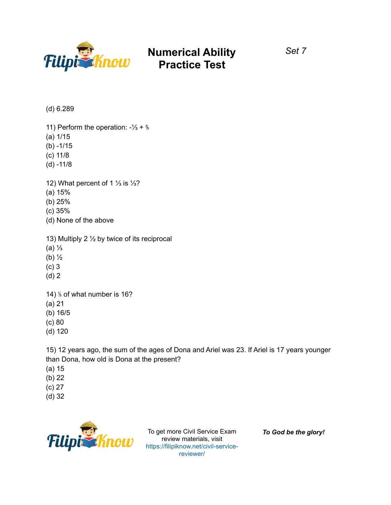

*Set 7*

(d) 6.289

11) Perform the operation: -⅓ + ⅖

- (a) 1/15
- $(b) 1/15$
- (c) 11/8
- (d) -11/8

12) What percent of 1 ⅓ is ⅓?

- (a) 15%
- (b) 25%
- (c) 35%
- (d) None of the above

13) Multiply 2 ½ by twice of its reciprocal

- (a) ⅓
- (b) ½
- (c) 3
- (d) 2

14) ⅕ of what number is 16? (a) 21 (b) 16/5 (c) 80 (d) 120

15) 12 years ago, the sum of the ages of Dona and Ariel was 23. If Ariel is 17 years younger than Dona, how old is Dona at the present?

- (a) 15
- (b) 22
- (c) 27
- (d) 32



To get more Civil Service Exam review materials, visit https://filipiknow.net/civil-servicereviewer/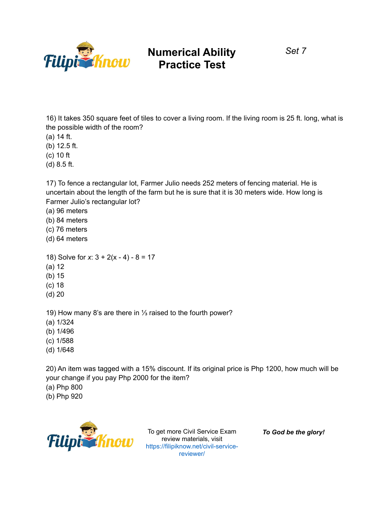

*Set 7*

16) It takes 350 square feet of tiles to cover a living room. If the living room is 25 ft. long, what is the possible width of the room?

- (a) 14 ft.
- (b) 12.5 ft.
- (c) 10 ft
- (d) 8.5 ft.

17) To fence a rectangular lot, Farmer Julio needs 252 meters of fencing material. He is uncertain about the length of the farm but he is sure that it is 30 meters wide. How long is Farmer Julio's rectangular lot?

- (a) 96 meters
- (b) 84 meters
- (c) 76 meters
- (d) 64 meters
- 18) Solve for *x*: 3 + 2(x 4) 8 = 17
- (a) 12
- (b) 15
- (c) 18
- (d) 20

19) How many 8's are there in ⅓ raised to the fourth power?

- (a) 1/324
- (b) 1/496
- (c) 1/588
- (d) 1/648

20) An item was tagged with a 15% discount. If its original price is Php 1200, how much will be your change if you pay Php 2000 for the item?

- (a) Php 800
- (b) Php 920



To get more Civil Service Exam review materials, visit https://filipiknow.net/civil-servicereviewer/